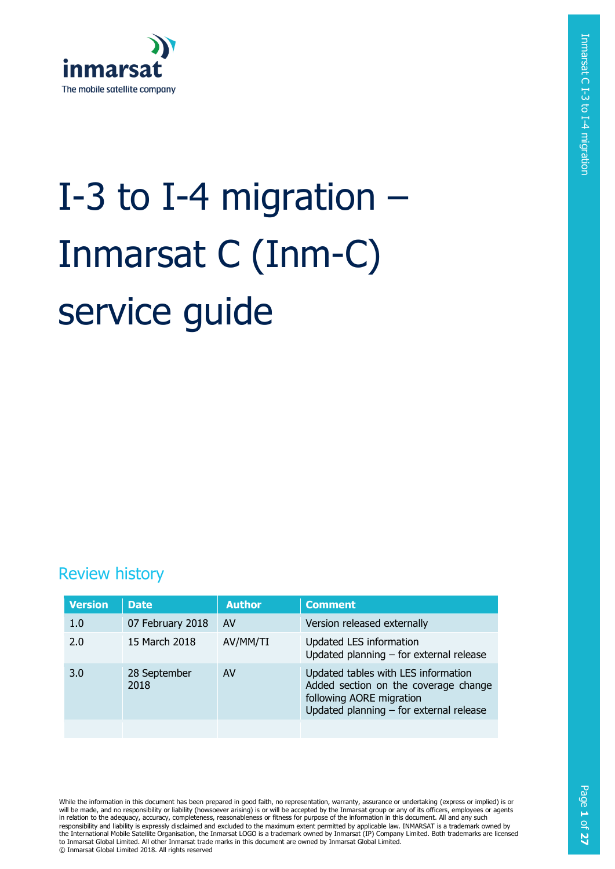

# I-3 to I-4 migration – Inmarsat C (Inm-C) service guide

## Review history

| <b>Version</b> | <b>Date</b>          | <b>Author</b> | <b>Comment</b>                                                                                                                                     |
|----------------|----------------------|---------------|----------------------------------------------------------------------------------------------------------------------------------------------------|
| 1.0            | 07 February 2018     | AV            | Version released externally                                                                                                                        |
| 2.0            | 15 March 2018        | AV/MM/TI      | Updated LES information<br>Updated planning $-$ for external release                                                                               |
| 3.0            | 28 September<br>2018 | AV            | Updated tables with LES information<br>Added section on the coverage change<br>following AORE migration<br>Updated planning - for external release |
|                |                      |               |                                                                                                                                                    |

While the information in this document has been prepared in good faith, no representation, warranty, assurance or undertaking (express or implied) is or will be made, and no responsibility or liability (howsoever arising) is or will be accepted by the Inmarsat group or any of its officers, employees or agents<br>in relation to the adequacy, accuracy, completeness, reasonablen responsibility and liability is expressly disclaimed and excluded to the maximum extent permitted by applicable law. INMARSAT is a trademark owned by the International Mobile Satellite Organisation, the Inmarsat LOGO is a trademark owned by Inmarsat (IP) Company Limited. Both trademarks are licensed to Inmarsat Global Limited. All other Inmarsat trade marks in this document are owned by Inmarsat Global Limited. © Inmarsat Global Limited 2018. All rights reserved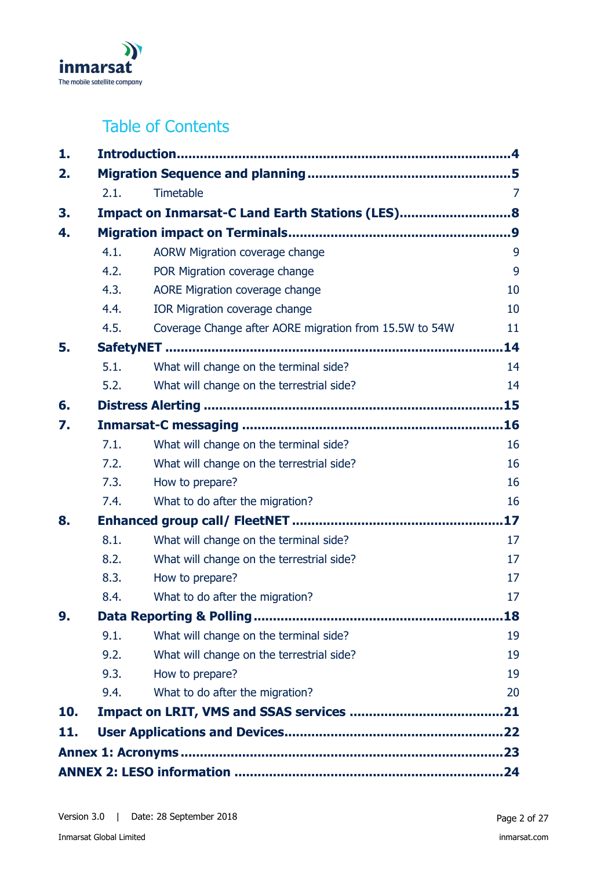

# Table of Contents

| 1.  |      |                                                        |                |  |
|-----|------|--------------------------------------------------------|----------------|--|
| 2.  |      |                                                        |                |  |
|     | 2.1. | Timetable                                              | $\overline{7}$ |  |
| 3.  |      | Impact on Inmarsat-C Land Earth Stations (LES)8        |                |  |
| 4.  |      |                                                        |                |  |
|     | 4.1. | <b>AORW Migration coverage change</b>                  | 9              |  |
|     | 4.2. | POR Migration coverage change                          | 9              |  |
|     | 4.3. | AORE Migration coverage change                         | 10             |  |
|     | 4.4. | <b>IOR Migration coverage change</b>                   | 10             |  |
|     | 4.5. | Coverage Change after AORE migration from 15.5W to 54W | 11             |  |
| 5.  |      |                                                        | 14             |  |
|     | 5.1. | What will change on the terminal side?                 | 14             |  |
|     | 5.2. | What will change on the terrestrial side?              | 14             |  |
| 6.  |      |                                                        |                |  |
| 7.  |      |                                                        |                |  |
|     | 7.1. | What will change on the terminal side?                 | 16             |  |
|     | 7.2. | What will change on the terrestrial side?              | 16             |  |
|     | 7.3. | How to prepare?                                        | 16             |  |
|     | 7.4. | What to do after the migration?                        | 16             |  |
| 8.  |      |                                                        | 17             |  |
|     | 8.1. | What will change on the terminal side?                 | 17             |  |
|     | 8.2. | What will change on the terrestrial side?              | 17             |  |
|     | 8.3. | How to prepare?                                        | 17             |  |
|     | 8.4. | What to do after the migration?                        | 17             |  |
| 9.  |      |                                                        | 18             |  |
|     | 9.1. | What will change on the terminal side?                 | 19             |  |
|     | 9.2. | What will change on the terrestrial side?              | 19             |  |
|     | 9.3. | How to prepare?                                        | 19             |  |
|     | 9.4. | What to do after the migration?                        | 20             |  |
| 10. |      |                                                        |                |  |
| 11. |      |                                                        |                |  |
|     |      |                                                        |                |  |
|     |      |                                                        |                |  |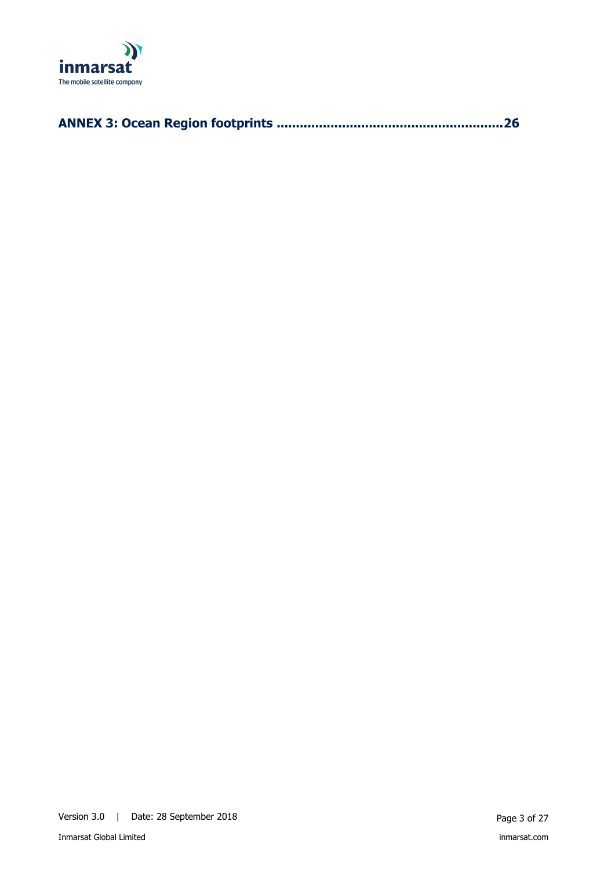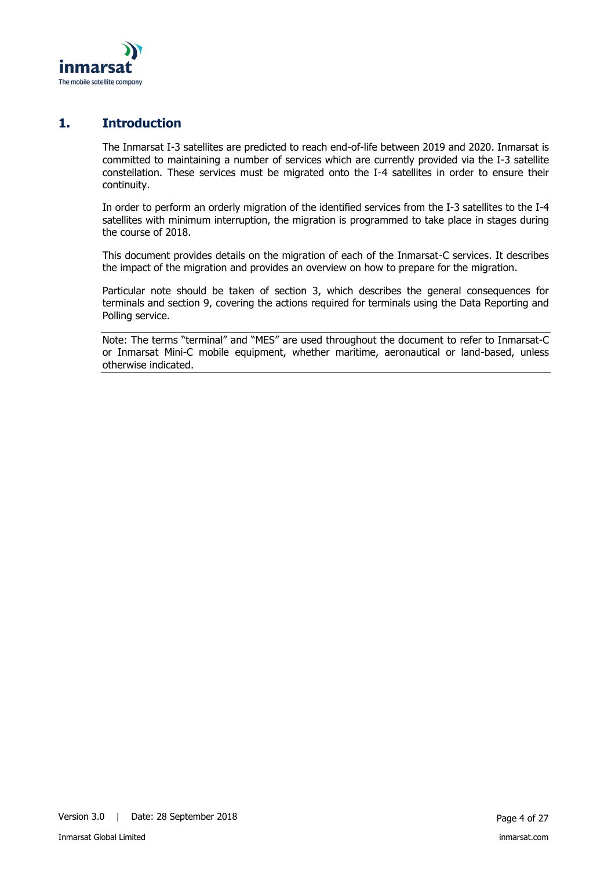

## **1. Introduction**

<span id="page-3-0"></span>The Inmarsat I-3 satellites are predicted to reach end-of-life between 2019 and 2020. Inmarsat is committed to maintaining a number of services which are currently provided via the I-3 satellite constellation. These services must be migrated onto the I-4 satellites in order to ensure their continuity.

In order to perform an orderly migration of the identified services from the I-3 satellites to the I-4 satellites with minimum interruption, the migration is programmed to take place in stages during the course of 2018.

This document provides details on the migration of each of the Inmarsat-C services. It describes the impact of the migration and provides an overview on how to prepare for the migration.

Particular note should be taken of section [3,](#page-7-0) which describes the general consequences for terminals and section [9,](#page-17-0) covering the actions required for terminals using the Data Reporting and Polling service.

Note: The terms "terminal" and "MES" are used throughout the document to refer to Inmarsat-C or Inmarsat Mini-C mobile equipment, whether maritime, aeronautical or land-based, unless otherwise indicated.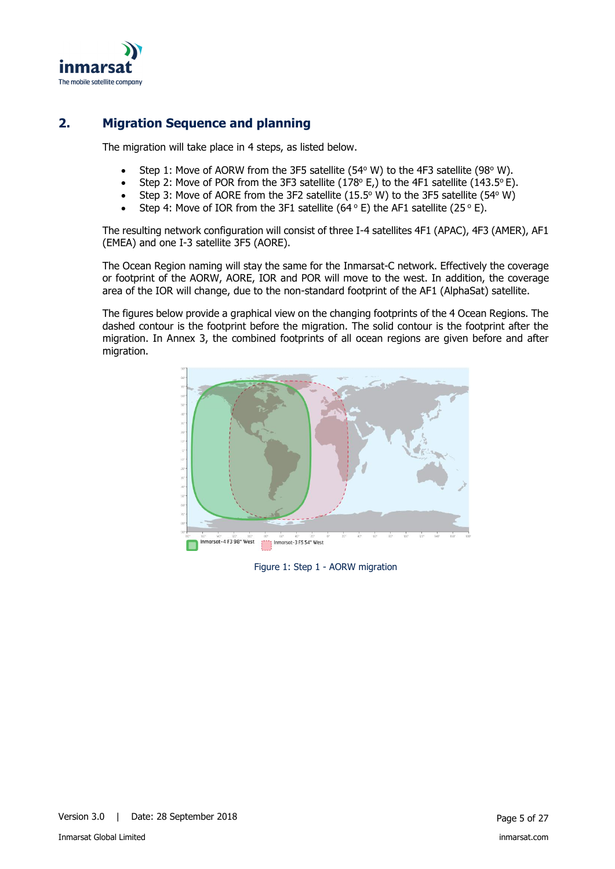

## **2. Migration Sequence and planning**

<span id="page-4-0"></span>The migration will take place in 4 steps, as listed below.

- Step 1: Move of AORW from the 3F5 satellite (54 $\degree$  W) to the 4F3 satellite (98 $\degree$  W).
- Step 2: Move of POR from the 3F3 satellite (178 $\textdegree$  E,) to the 4F1 satellite (143.5 $\textdegree$ E).
- Step 3: Move of AORE from the 3F2 satellite (15.5 $\degree$  W) to the 3F5 satellite (54 $\degree$  W)
- Step 4: Move of IOR from the 3F1 satellite (64 $\degree$  E) the AF1 satellite (25 $\degree$  E).

The resulting network configuration will consist of three I-4 satellites 4F1 (APAC), 4F3 (AMER), AF1 (EMEA) and one I-3 satellite 3F5 (AORE).

The Ocean Region naming will stay the same for the Inmarsat-C network. Effectively the coverage or footprint of the AORW, AORE, IOR and POR will move to the west. In addition, the coverage area of the IOR will change, due to the non-standard footprint of the AF1 (AlphaSat) satellite.

The figures below provide a graphical view on the changing footprints of the 4 Ocean Regions. The dashed contour is the footprint before the migration. The solid contour is the footprint after the migration. In Annex 3, the combined footprints of all ocean regions are given before and after migration.



Figure 1: Step 1 - AORW migration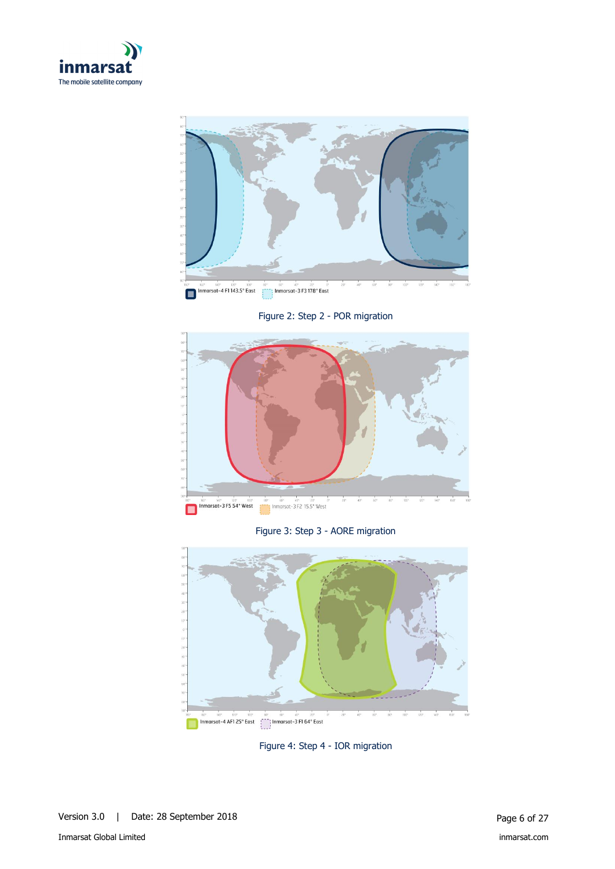



Figure 2: Step 2 - POR migration



Figure 3: Step 3 - AORE migration



Figure 4: Step 4 - IOR migration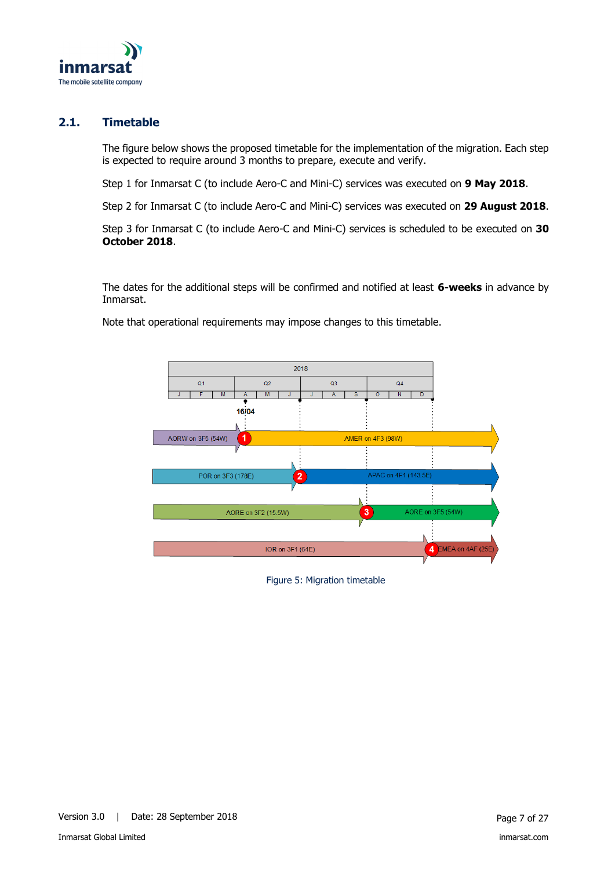

## **2.1. Timetable**

<span id="page-6-0"></span>The figure below shows the proposed timetable for the implementation of the migration. Each step is expected to require around 3 months to prepare, execute and verify.

Step 1 for Inmarsat C (to include Aero-C and Mini-C) services was executed on **9 May 2018**.

Step 2 for Inmarsat C (to include Aero-C and Mini-C) services was executed on **29 August 2018**.

Step 3 for Inmarsat C (to include Aero-C and Mini-C) services is scheduled to be executed on **30 October 2018**.

The dates for the additional steps will be confirmed and notified at least **6-weeks** in advance by Inmarsat.

Note that operational requirements may impose changes to this timetable.



Figure 5: Migration timetable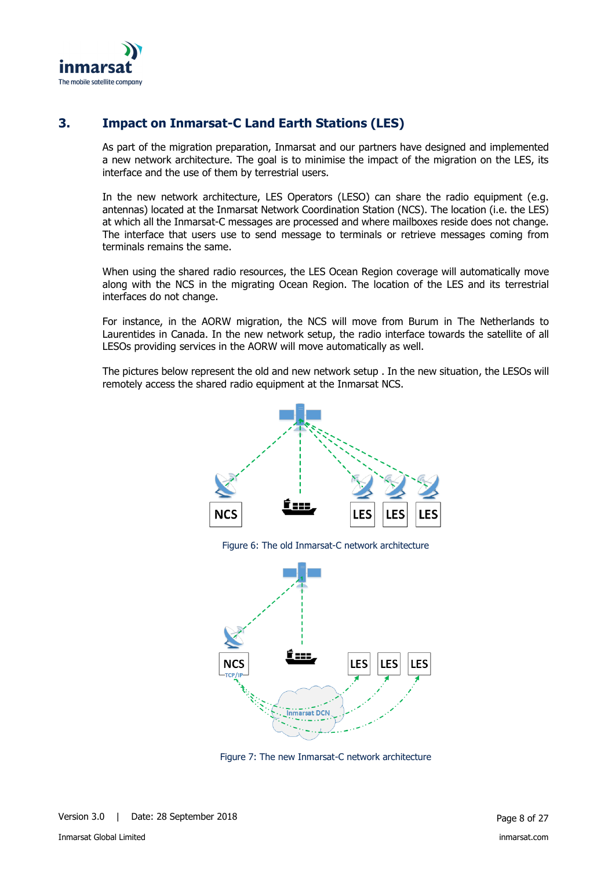

## **3. Impact on Inmarsat-C Land Earth Stations (LES)**

<span id="page-7-0"></span>As part of the migration preparation, Inmarsat and our partners have designed and implemented a new network architecture. The goal is to minimise the impact of the migration on the LES, its interface and the use of them by terrestrial users.

In the new network architecture, LES Operators (LESO) can share the radio equipment (e.g. antennas) located at the Inmarsat Network Coordination Station (NCS). The location (i.e. the LES) at which all the Inmarsat-C messages are processed and where mailboxes reside does not change. The interface that users use to send message to terminals or retrieve messages coming from terminals remains the same.

When using the shared radio resources, the LES Ocean Region coverage will automatically move along with the NCS in the migrating Ocean Region. The location of the LES and its terrestrial interfaces do not change.

For instance, in the AORW migration, the NCS will move from Burum in The Netherlands to Laurentides in Canada. In the new network setup, the radio interface towards the satellite of all LESOs providing services in the AORW will move automatically as well.

The pictures below represent the old and new network setup . In the new situation, the LESOs will remotely access the shared radio equipment at the Inmarsat NCS.



Figure 7: The new Inmarsat-C network architecture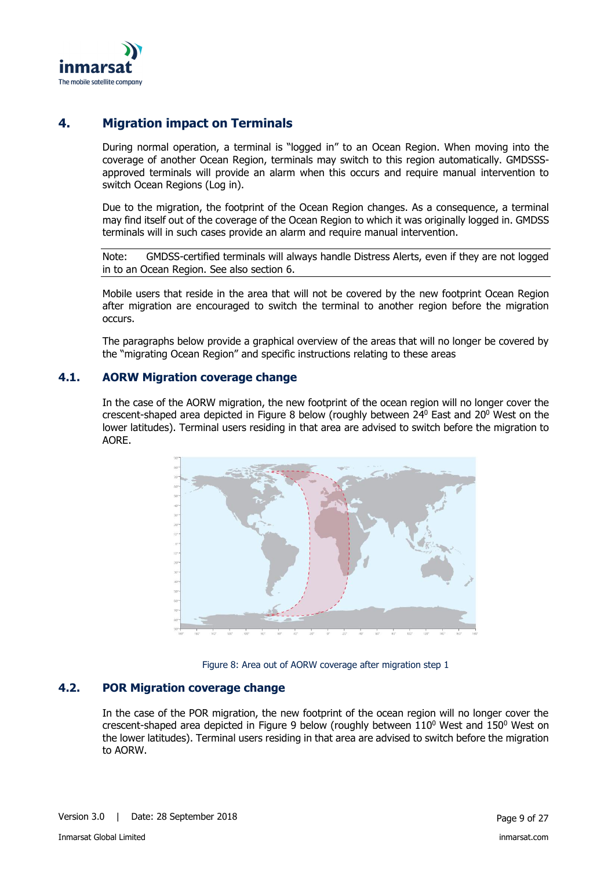

## **4. Migration impact on Terminals**

<span id="page-8-0"></span>During normal operation, a terminal is "logged in" to an Ocean Region. When moving into the coverage of another Ocean Region, terminals may switch to this region automatically. GMDSSSapproved terminals will provide an alarm when this occurs and require manual intervention to switch Ocean Regions (Log in).

Due to the migration, the footprint of the Ocean Region changes. As a consequence, a terminal may find itself out of the coverage of the Ocean Region to which it was originally logged in. GMDSS terminals will in such cases provide an alarm and require manual intervention.

Note: GMDSS-certified terminals will always handle Distress Alerts, even if they are not logged in to an Ocean Region. See also section [6.](#page-14-0)

Mobile users that reside in the area that will not be covered by the new footprint Ocean Region after migration are encouraged to switch the terminal to another region before the migration occurs.

The paragraphs below provide a graphical overview of the areas that will no longer be covered by the "migrating Ocean Region" and specific instructions relating to these areas

#### **4.1. AORW Migration coverage change**

<span id="page-8-1"></span>In the case of the AORW migration, the new footprint of the ocean region will no longer cover the crescent-shaped area depicted in [Figure 8](#page-8-3) below (roughly between  $24^{\circ}$  East and  $20^{\circ}$  West on the lower latitudes). Terminal users residing in that area are advised to switch before the migration to AORE.



Figure 8: Area out of AORW coverage after migration step 1

## <span id="page-8-3"></span>**4.2. POR Migration coverage change**

<span id="page-8-2"></span>In the case of the POR migration, the new footprint of the ocean region will no longer cover the crescent-shaped area depicted in [Figure 9](#page-9-2) below (roughly between  $110^{\circ}$  West and  $150^{\circ}$  West on the lower latitudes). Terminal users residing in that area are advised to switch before the migration to AORW.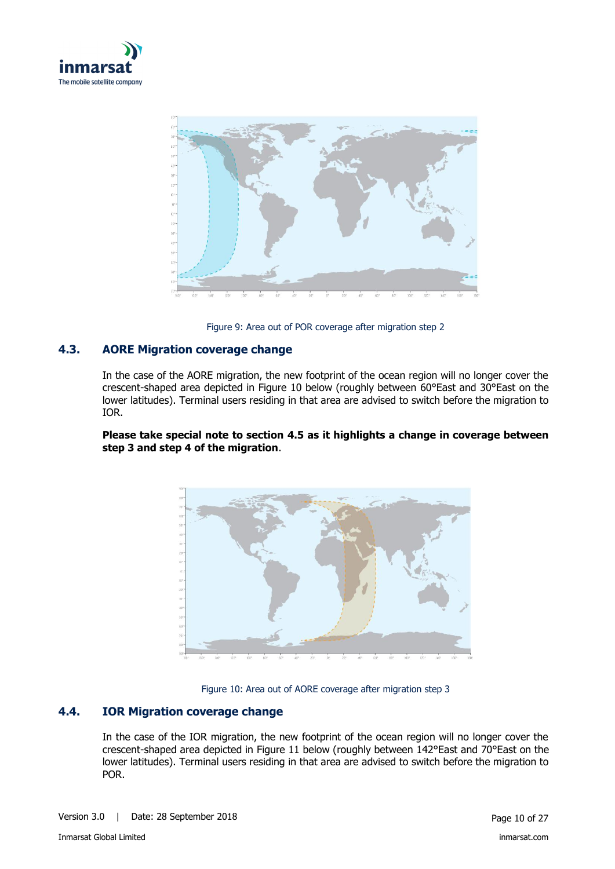



Figure 9: Area out of POR coverage after migration step 2

## <span id="page-9-2"></span>**4.3. AORE Migration coverage change**

<span id="page-9-0"></span>In the case of the AORE migration, the new footprint of the ocean region will no longer cover the crescent-shaped area depicted in [Figure 10](#page-9-3) below (roughly between 60°East and 30°East on the lower latitudes). Terminal users residing in that area are advised to switch before the migration to IOR.

#### **Please take special note to section [4.5](#page-10-0) as it highlights a change in coverage between step 3 and step 4 of the migration**.





#### <span id="page-9-3"></span>**4.4. IOR Migration coverage change**

<span id="page-9-1"></span>In the case of the IOR migration, the new footprint of the ocean region will no longer cover the crescent-shaped area depicted in [Figure 11](#page-10-1) below (roughly between 142°East and 70°East on the lower latitudes). Terminal users residing in that area are advised to switch before the migration to POR.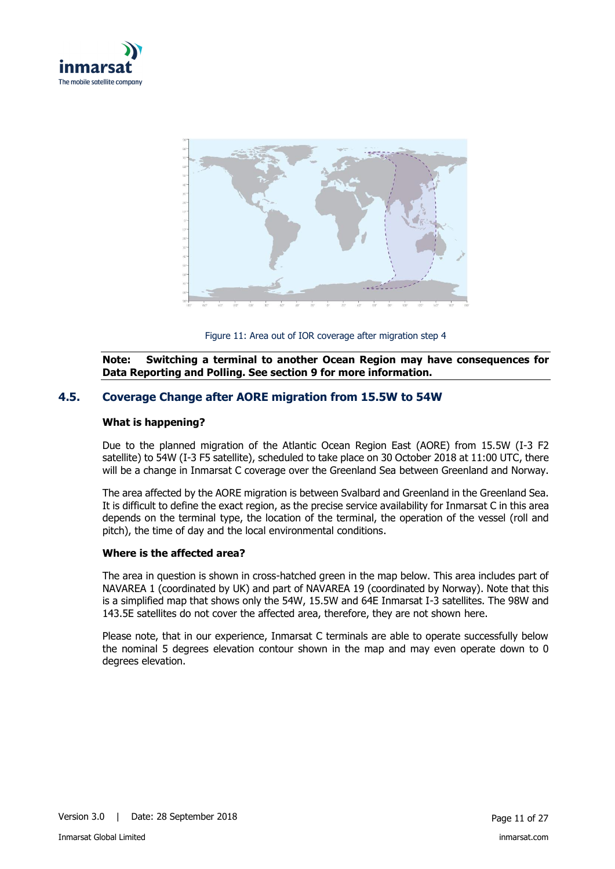



Figure 11: Area out of IOR coverage after migration step 4

<span id="page-10-1"></span>**Note: Switching a terminal to another Ocean Region may have consequences for Data Reporting and Polling. See section [9](#page-17-0) for more information.** 

## **4.5. Coverage Change after AORE migration from 15.5W to 54W**

#### <span id="page-10-0"></span>**What is happening?**

Due to the planned migration of the Atlantic Ocean Region East (AORE) from 15.5W (I-3 F2 satellite) to 54W (I-3 F5 satellite), scheduled to take place on 30 October 2018 at 11:00 UTC, there will be a change in Inmarsat C coverage over the Greenland Sea between Greenland and Norway.

The area affected by the AORE migration is between Svalbard and Greenland in the Greenland Sea. It is difficult to define the exact region, as the precise service availability for Inmarsat C in this area depends on the terminal type, the location of the terminal, the operation of the vessel (roll and pitch), the time of day and the local environmental conditions.

#### **Where is the affected area?**

The area in question is shown in cross-hatched green in the map below. This area includes part of NAVAREA 1 (coordinated by UK) and part of NAVAREA 19 (coordinated by Norway). Note that this is a simplified map that shows only the 54W, 15.5W and 64E Inmarsat I-3 satellites. The 98W and 143.5E satellites do not cover the affected area, therefore, they are not shown here.

Please note, that in our experience, Inmarsat C terminals are able to operate successfully below the nominal 5 degrees elevation contour shown in the map and may even operate down to 0 degrees elevation.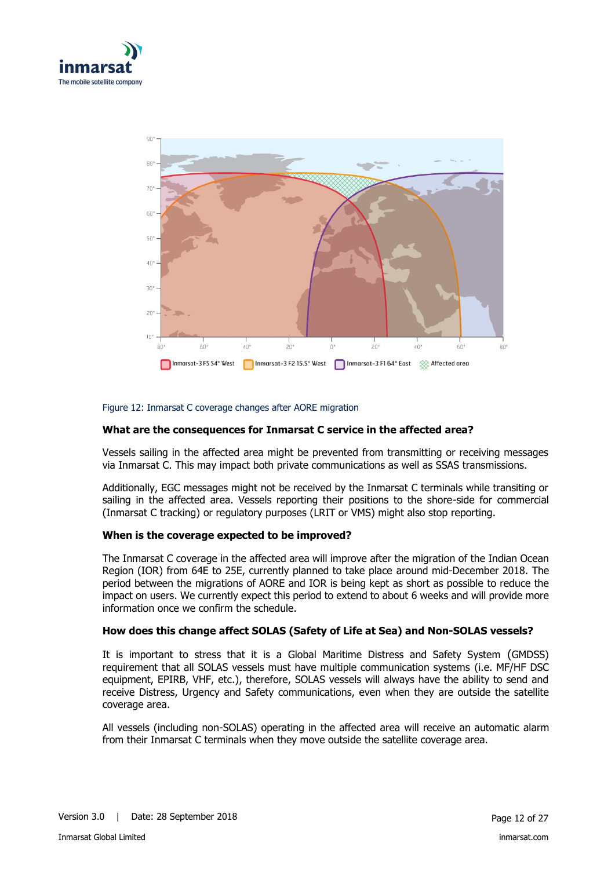



#### Figure 12: Inmarsat C coverage changes after AORE migration

#### **What are the consequences for Inmarsat C service in the affected area?**

Vessels sailing in the affected area might be prevented from transmitting or receiving messages via Inmarsat C. This may impact both private communications as well as SSAS transmissions.

Additionally, EGC messages might not be received by the Inmarsat C terminals while transiting or sailing in the affected area. Vessels reporting their positions to the shore-side for commercial (Inmarsat C tracking) or regulatory purposes (LRIT or VMS) might also stop reporting.

#### **When is the coverage expected to be improved?**

The Inmarsat C coverage in the affected area will improve after the migration of the Indian Ocean Region (IOR) from 64E to 25E, currently planned to take place around mid-December 2018. The period between the migrations of AORE and IOR is being kept as short as possible to reduce the impact on users. We currently expect this period to extend to about 6 weeks and will provide more information once we confirm the schedule.

#### **How does this change affect SOLAS (Safety of Life at Sea) and Non-SOLAS vessels?**

It is important to stress that it is a Global Maritime Distress and Safety System (GMDSS) requirement that all SOLAS vessels must have multiple communication systems (i.e. MF/HF DSC equipment, EPIRB, VHF, etc.), therefore, SOLAS vessels will always have the ability to send and receive Distress, Urgency and Safety communications, even when they are outside the satellite coverage area.

All vessels (including non-SOLAS) operating in the affected area will receive an automatic alarm from their Inmarsat C terminals when they move outside the satellite coverage area.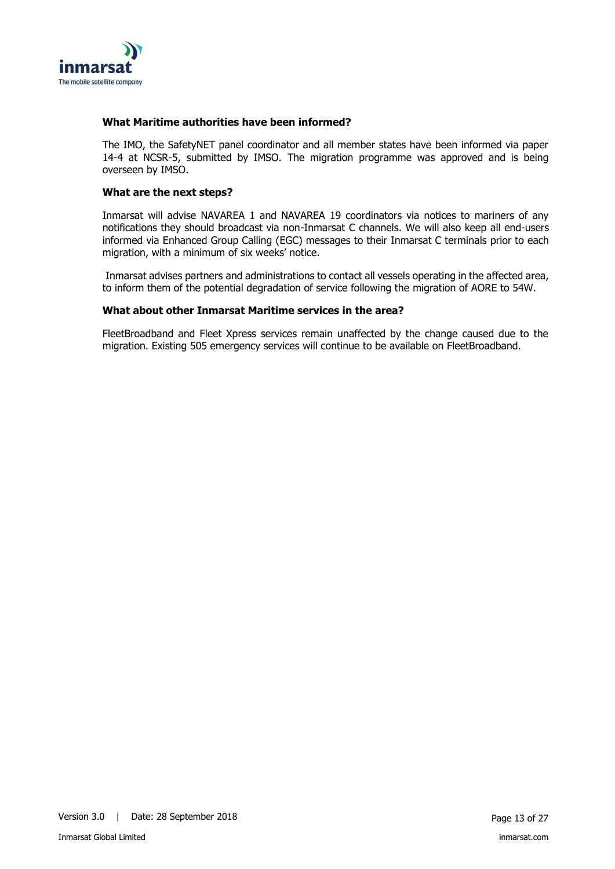

#### **What Maritime authorities have been informed?**

The IMO, the SafetyNET panel coordinator and all member states have been informed via paper 14-4 at NCSR-5, submitted by IMSO. The migration programme was approved and is being overseen by IMSO.

#### **What are the next steps?**

Inmarsat will advise NAVAREA 1 and NAVAREA 19 coordinators via notices to mariners of any notifications they should broadcast via non-Inmarsat C channels. We will also keep all end-users informed via Enhanced Group Calling (EGC) messages to their Inmarsat C terminals prior to each migration, with a minimum of six weeks' notice.

Inmarsat advises partners and administrations to contact all vessels operating in the affected area, to inform them of the potential degradation of service following the migration of AORE to 54W.

#### **What about other Inmarsat Maritime services in the area?**

FleetBroadband and Fleet Xpress services remain unaffected by the change caused due to the migration. Existing 505 emergency services will continue to be available on FleetBroadband.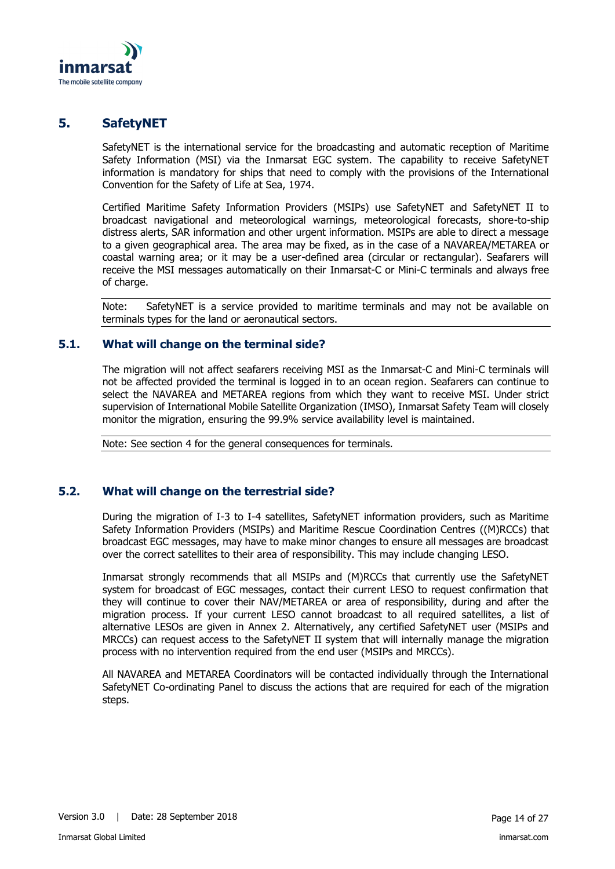

## **5. SafetyNET**

<span id="page-13-0"></span>SafetyNET is the international service for the broadcasting and automatic reception of Maritime Safety Information (MSI) via the Inmarsat EGC system. The capability to receive SafetyNET information is mandatory for ships that need to comply with the provisions of the International Convention for the Safety of Life at Sea, 1974.

Certified Maritime Safety Information Providers (MSIPs) use SafetyNET and SafetyNET II to broadcast navigational and meteorological warnings, meteorological forecasts, shore-to-ship distress alerts, SAR information and other urgent information. MSIPs are able to direct a message to a given geographical area. The area may be fixed, as in the case of a NAVAREA/METAREA or coastal warning area; or it may be a user-defined area (circular or rectangular). Seafarers will receive the MSI messages automatically on their Inmarsat-C or Mini-C terminals and always free of charge.

Note: SafetyNET is a service provided to maritime terminals and may not be available on terminals types for the land or aeronautical sectors.

#### **5.1. What will change on the terminal side?**

<span id="page-13-1"></span>The migration will not affect seafarers receiving MSI as the Inmarsat-C and Mini-C terminals will not be affected provided the terminal is logged in to an ocean region. Seafarers can continue to select the NAVAREA and METAREA regions from which they want to receive MSI. Under strict supervision of International Mobile Satellite Organization (IMSO), Inmarsat Safety Team will closely monitor the migration, ensuring the 99.9% service availability level is maintained.

Note: See section [4](#page-8-0) for the general consequences for terminals.

#### **5.2. What will change on the terrestrial side?**

<span id="page-13-2"></span>During the migration of I-3 to I-4 satellites, SafetyNET information providers, such as Maritime Safety Information Providers (MSIPs) and Maritime Rescue Coordination Centres ((M)RCCs) that broadcast EGC messages, may have to make minor changes to ensure all messages are broadcast over the correct satellites to their area of responsibility. This may include changing LESO.

Inmarsat strongly recommends that all MSIPs and (M)RCCs that currently use the SafetyNET system for broadcast of EGC messages, contact their current LESO to request confirmation that they will continue to cover their NAV/METAREA or area of responsibility, during and after the migration process. If your current LESO cannot broadcast to all required satellites, a list of alternative LESOs are given in Annex 2. Alternatively, any certified SafetyNET user (MSIPs and MRCCs) can request access to the SafetyNET II system that will internally manage the migration process with no intervention required from the end user (MSIPs and MRCCs).

All NAVAREA and METAREA Coordinators will be contacted individually through the International SafetyNET Co-ordinating Panel to discuss the actions that are required for each of the migration steps.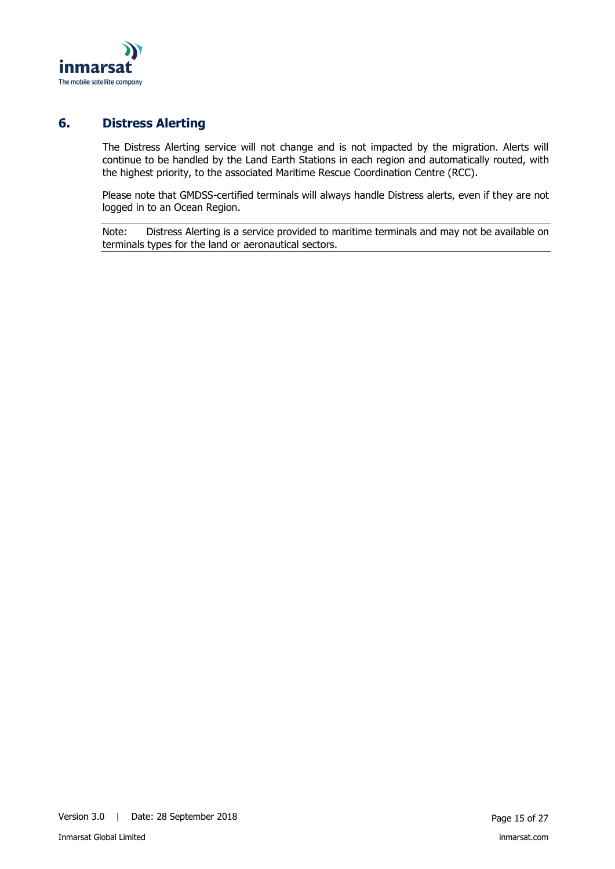

## **6. Distress Alerting**

<span id="page-14-0"></span>The Distress Alerting service will not change and is not impacted by the migration. Alerts will continue to be handled by the Land Earth Stations in each region and automatically routed, with the highest priority, to the associated Maritime Rescue Coordination Centre (RCC).

Please note that GMDSS-certified terminals will always handle Distress alerts, even if they are not logged in to an Ocean Region.

Note: Distress Alerting is a service provided to maritime terminals and may not be available on terminals types for the land or aeronautical sectors.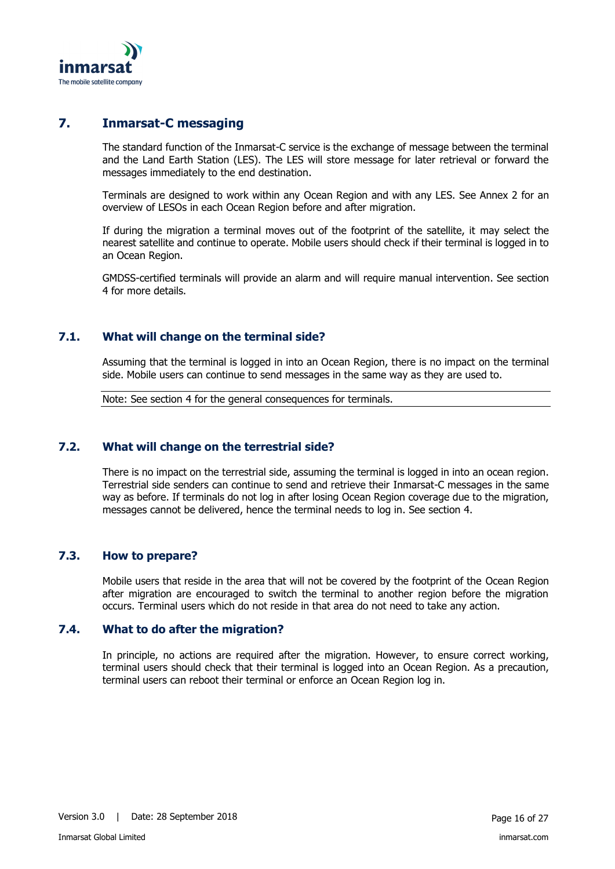

## **7. Inmarsat-C messaging**

<span id="page-15-0"></span>The standard function of the Inmarsat-C service is the exchange of message between the terminal and the Land Earth Station (LES). The LES will store message for later retrieval or forward the messages immediately to the end destination.

Terminals are designed to work within any Ocean Region and with any LES. See Annex 2 for an overview of LESOs in each Ocean Region before and after migration.

If during the migration a terminal moves out of the footprint of the satellite, it may select the nearest satellite and continue to operate. Mobile users should check if their terminal is logged in to an Ocean Region.

GMDSS-certified terminals will provide an alarm and will require manual intervention. See section [4](#page-8-0) for more details.

## **7.1. What will change on the terminal side?**

<span id="page-15-1"></span>Assuming that the terminal is logged in into an Ocean Region, there is no impact on the terminal side. Mobile users can continue to send messages in the same way as they are used to.

Note: See section [4](#page-8-0) for the general consequences for terminals.

#### **7.2. What will change on the terrestrial side?**

<span id="page-15-2"></span>There is no impact on the terrestrial side, assuming the terminal is logged in into an ocean region. Terrestrial side senders can continue to send and retrieve their Inmarsat-C messages in the same way as before. If terminals do not log in after losing Ocean Region coverage due to the migration, messages cannot be delivered, hence the terminal needs to log in. See section [4.](#page-8-0)

#### **7.3. How to prepare?**

<span id="page-15-3"></span>Mobile users that reside in the area that will not be covered by the footprint of the Ocean Region after migration are encouraged to switch the terminal to another region before the migration occurs. Terminal users which do not reside in that area do not need to take any action.

#### **7.4. What to do after the migration?**

<span id="page-15-4"></span>In principle, no actions are required after the migration. However, to ensure correct working, terminal users should check that their terminal is logged into an Ocean Region. As a precaution, terminal users can reboot their terminal or enforce an Ocean Region log in.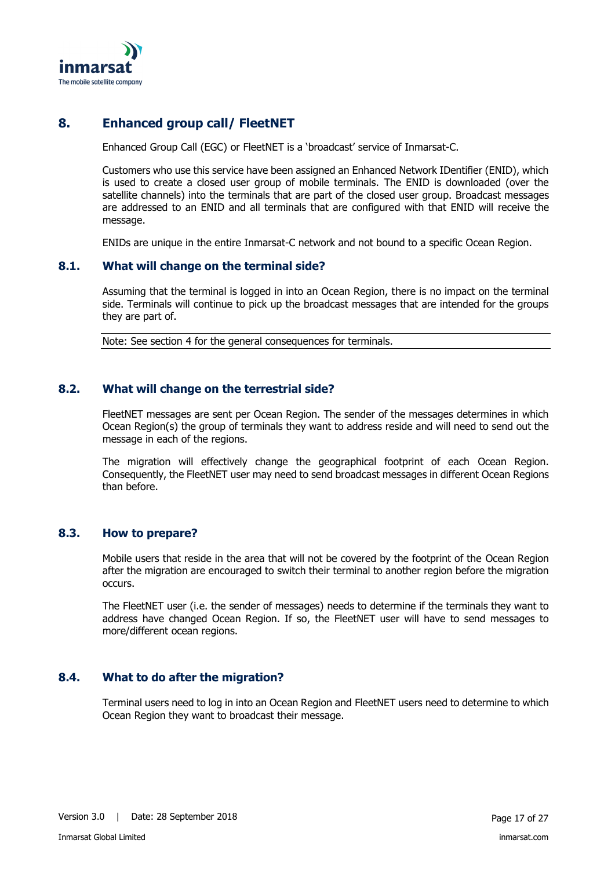

## **8. Enhanced group call/ FleetNET**

<span id="page-16-0"></span>Enhanced Group Call (EGC) or FleetNET is a 'broadcast' service of Inmarsat-C.

Customers who use this service have been assigned an Enhanced Network IDentifier (ENID), which is used to create a closed user group of mobile terminals. The ENID is downloaded (over the satellite channels) into the terminals that are part of the closed user group. Broadcast messages are addressed to an ENID and all terminals that are configured with that ENID will receive the message.

<span id="page-16-1"></span>ENIDs are unique in the entire Inmarsat-C network and not bound to a specific Ocean Region.

## **8.1. What will change on the terminal side?**

Assuming that the terminal is logged in into an Ocean Region, there is no impact on the terminal side. Terminals will continue to pick up the broadcast messages that are intended for the groups they are part of.

Note: See section [4](#page-8-0) for the general consequences for terminals.

#### **8.2. What will change on the terrestrial side?**

<span id="page-16-2"></span>FleetNET messages are sent per Ocean Region. The sender of the messages determines in which Ocean Region(s) the group of terminals they want to address reside and will need to send out the message in each of the regions.

The migration will effectively change the geographical footprint of each Ocean Region. Consequently, the FleetNET user may need to send broadcast messages in different Ocean Regions than before.

#### **8.3. How to prepare?**

<span id="page-16-3"></span>Mobile users that reside in the area that will not be covered by the footprint of the Ocean Region after the migration are encouraged to switch their terminal to another region before the migration occurs.

The FleetNET user (i.e. the sender of messages) needs to determine if the terminals they want to address have changed Ocean Region. If so, the FleetNET user will have to send messages to more/different ocean regions.

#### **8.4. What to do after the migration?**

<span id="page-16-4"></span>Terminal users need to log in into an Ocean Region and FleetNET users need to determine to which Ocean Region they want to broadcast their message.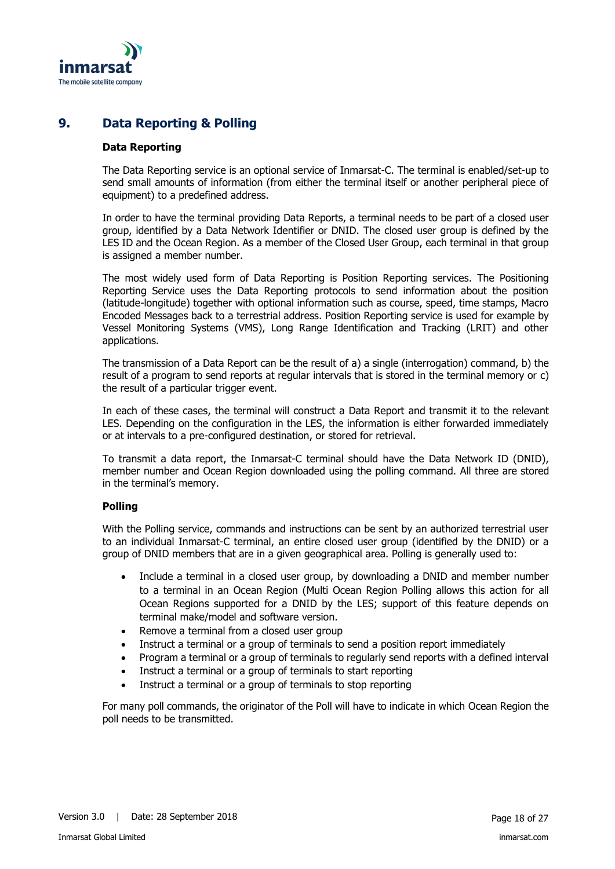

## **9. Data Reporting & Polling**

#### <span id="page-17-0"></span>**Data Reporting**

The Data Reporting service is an optional service of Inmarsat-C. The terminal is enabled/set-up to send small amounts of information (from either the terminal itself or another peripheral piece of equipment) to a predefined address.

In order to have the terminal providing Data Reports, a terminal needs to be part of a closed user group, identified by a Data Network Identifier or DNID. The closed user group is defined by the LES ID and the Ocean Region. As a member of the Closed User Group, each terminal in that group is assigned a member number.

The most widely used form of Data Reporting is Position Reporting services. The Positioning Reporting Service uses the Data Reporting protocols to send information about the position (latitude-longitude) together with optional information such as course, speed, time stamps, Macro Encoded Messages back to a terrestrial address. Position Reporting service is used for example by Vessel Monitoring Systems (VMS), Long Range Identification and Tracking (LRIT) and other applications.

The transmission of a Data Report can be the result of a) a single (interrogation) command, b) the result of a program to send reports at regular intervals that is stored in the terminal memory or c) the result of a particular trigger event.

In each of these cases, the terminal will construct a Data Report and transmit it to the relevant LES. Depending on the configuration in the LES, the information is either forwarded immediately or at intervals to a pre-configured destination, or stored for retrieval.

To transmit a data report, the Inmarsat-C terminal should have the Data Network ID (DNID), member number and Ocean Region downloaded using the polling command. All three are stored in the terminal's memory.

#### **Polling**

With the Polling service, commands and instructions can be sent by an authorized terrestrial user to an individual Inmarsat-C terminal, an entire closed user group (identified by the DNID) or a group of DNID members that are in a given geographical area. Polling is generally used to:

- Include a terminal in a closed user group, by downloading a DNID and member number to a terminal in an Ocean Region (Multi Ocean Region Polling allows this action for all Ocean Regions supported for a DNID by the LES; support of this feature depends on terminal make/model and software version.
- Remove a terminal from a closed user group
- Instruct a terminal or a group of terminals to send a position report immediately
- Program a terminal or a group of terminals to regularly send reports with a defined interval
- Instruct a terminal or a group of terminals to start reporting
- Instruct a terminal or a group of terminals to stop reporting

For many poll commands, the originator of the Poll will have to indicate in which Ocean Region the poll needs to be transmitted.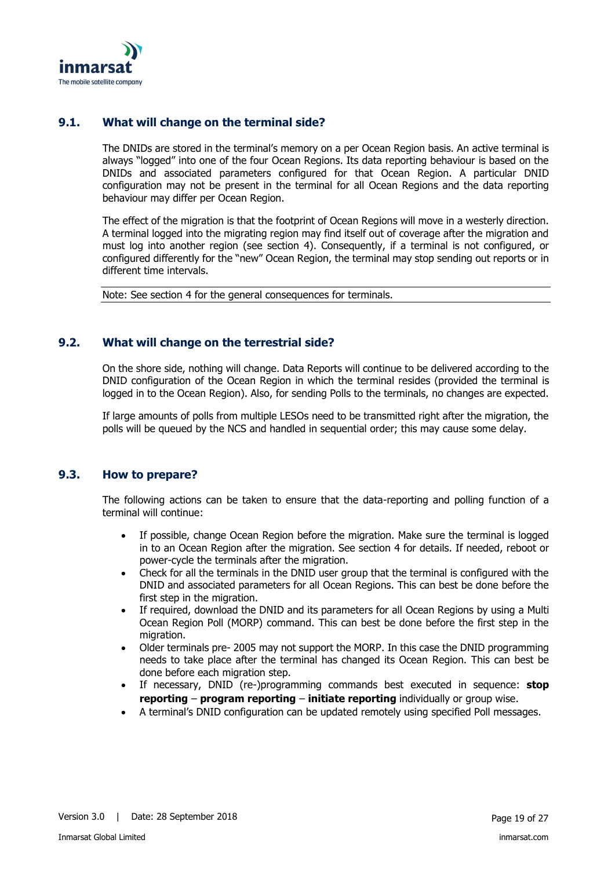

## **9.1. What will change on the terminal side?**

<span id="page-18-0"></span>The DNIDs are stored in the terminal's memory on a per Ocean Region basis. An active terminal is always "logged" into one of the four Ocean Regions. Its data reporting behaviour is based on the DNIDs and associated parameters configured for that Ocean Region. A particular DNID configuration may not be present in the terminal for all Ocean Regions and the data reporting behaviour may differ per Ocean Region.

The effect of the migration is that the footprint of Ocean Regions will move in a westerly direction. A terminal logged into the migrating region may find itself out of coverage after the migration and must log into another region (see section [4\)](#page-8-0). Consequently, if a terminal is not configured, or configured differently for the "new" Ocean Region, the terminal may stop sending out reports or in different time intervals.

Note: See section [4](#page-8-0) for the general consequences for terminals.

## **9.2. What will change on the terrestrial side?**

<span id="page-18-1"></span>On the shore side, nothing will change. Data Reports will continue to be delivered according to the DNID configuration of the Ocean Region in which the terminal resides (provided the terminal is logged in to the Ocean Region). Also, for sending Polls to the terminals, no changes are expected.

If large amounts of polls from multiple LESOs need to be transmitted right after the migration, the polls will be queued by the NCS and handled in sequential order; this may cause some delay.

#### **9.3. How to prepare?**

<span id="page-18-2"></span>The following actions can be taken to ensure that the data-reporting and polling function of a terminal will continue:

- If possible, change Ocean Region before the migration. Make sure the terminal is logged in to an Ocean Region after the migration. See section [4](#page-8-0) for details. If needed, reboot or power-cycle the terminals after the migration.
- Check for all the terminals in the DNID user group that the terminal is configured with the DNID and associated parameters for all Ocean Regions. This can best be done before the first step in the migration.
- If required, download the DNID and its parameters for all Ocean Regions by using a Multi Ocean Region Poll (MORP) command. This can best be done before the first step in the migration.
- Older terminals pre- 2005 may not support the MORP. In this case the DNID programming needs to take place after the terminal has changed its Ocean Region. This can best be done before each migration step.
- If necessary, DNID (re-)programming commands best executed in sequence: **stop reporting** – **program reporting** – **initiate reporting** individually or group wise.
- A terminal's DNID configuration can be updated remotely using specified Poll messages.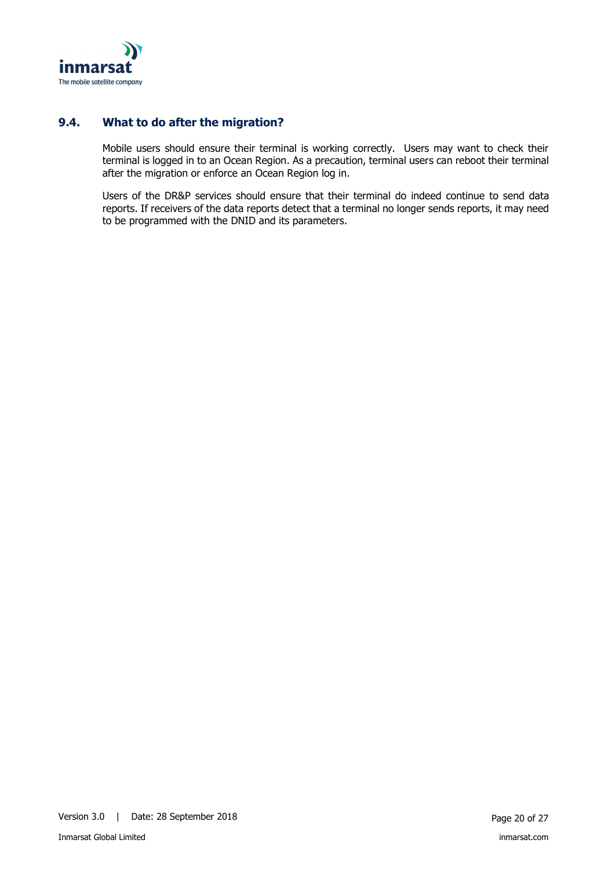

## **9.4. What to do after the migration?**

<span id="page-19-0"></span>Mobile users should ensure their terminal is working correctly. Users may want to check their terminal is logged in to an Ocean Region. As a precaution, terminal users can reboot their terminal after the migration or enforce an Ocean Region log in.

Users of the DR&P services should ensure that their terminal do indeed continue to send data reports. If receivers of the data reports detect that a terminal no longer sends reports, it may need to be programmed with the DNID and its parameters.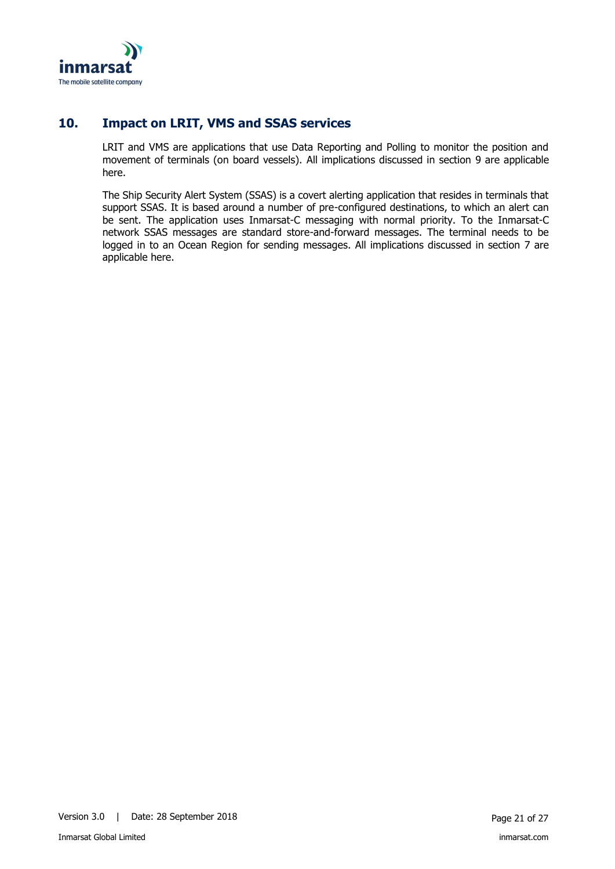

## **10. Impact on LRIT, VMS and SSAS services**

<span id="page-20-0"></span>LRIT and VMS are applications that use Data Reporting and Polling to monitor the position and movement of terminals (on board vessels). All implications discussed in section [9](#page-17-0) are applicable here.

The Ship Security Alert System (SSAS) is a covert alerting application that resides in terminals that support SSAS. It is based around a number of pre-configured destinations, to which an alert can be sent. The application uses Inmarsat-C messaging with normal priority. To the Inmarsat-C network SSAS messages are standard store-and-forward messages. The terminal needs to be logged in to an Ocean Region for sending messages. All implications discussed in section [7](#page-15-0) are applicable here.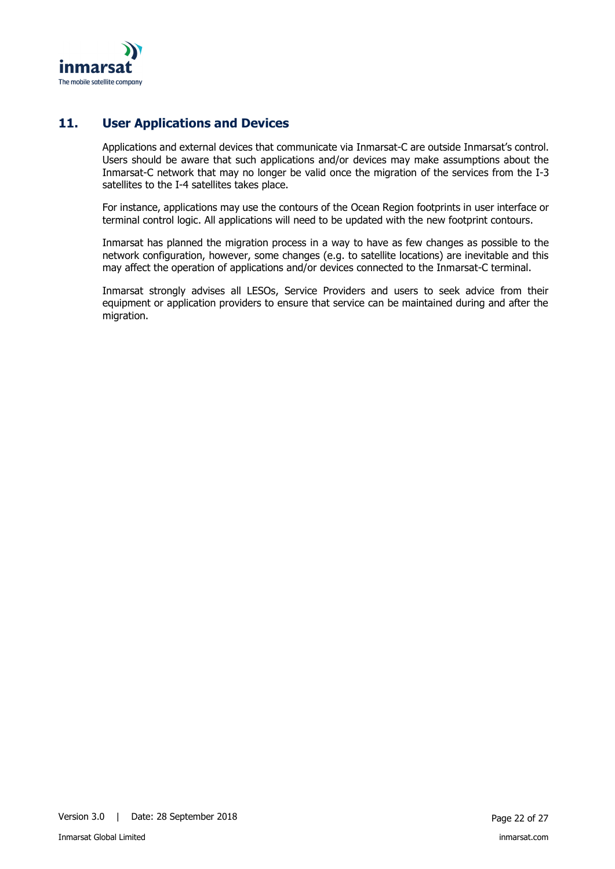

## **11. User Applications and Devices**

<span id="page-21-0"></span>Applications and external devices that communicate via Inmarsat-C are outside Inmarsat's control. Users should be aware that such applications and/or devices may make assumptions about the Inmarsat-C network that may no longer be valid once the migration of the services from the I-3 satellites to the I-4 satellites takes place.

For instance, applications may use the contours of the Ocean Region footprints in user interface or terminal control logic. All applications will need to be updated with the new footprint contours.

Inmarsat has planned the migration process in a way to have as few changes as possible to the network configuration, however, some changes (e.g. to satellite locations) are inevitable and this may affect the operation of applications and/or devices connected to the Inmarsat-C terminal.

Inmarsat strongly advises all LESOs, Service Providers and users to seek advice from their equipment or application providers to ensure that service can be maintained during and after the migration.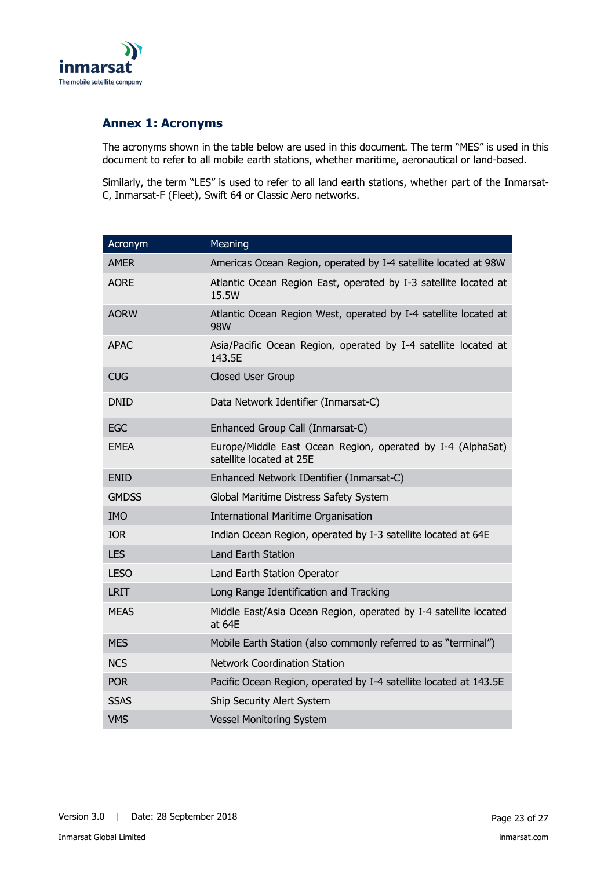

## <span id="page-22-0"></span>**Annex 1: Acronyms**

The acronyms shown in the table below are used in this document. The term "MES" is used in this document to refer to all mobile earth stations, whether maritime, aeronautical or land-based.

Similarly, the term "LES" is used to refer to all land earth stations, whether part of the Inmarsat-C, Inmarsat-F (Fleet), Swift 64 or Classic Aero networks.

| Acronym      | Meaning                                                                                 |
|--------------|-----------------------------------------------------------------------------------------|
| <b>AMER</b>  | Americas Ocean Region, operated by I-4 satellite located at 98W                         |
| <b>AORE</b>  | Atlantic Ocean Region East, operated by I-3 satellite located at<br>15.5W               |
| <b>AORW</b>  | Atlantic Ocean Region West, operated by I-4 satellite located at<br>98W                 |
| <b>APAC</b>  | Asia/Pacific Ocean Region, operated by I-4 satellite located at<br>143.5E               |
| <b>CUG</b>   | Closed User Group                                                                       |
| <b>DNID</b>  | Data Network Identifier (Inmarsat-C)                                                    |
| <b>EGC</b>   | Enhanced Group Call (Inmarsat-C)                                                        |
| <b>EMEA</b>  | Europe/Middle East Ocean Region, operated by I-4 (AlphaSat)<br>satellite located at 25E |
| <b>ENID</b>  | Enhanced Network IDentifier (Inmarsat-C)                                                |
| <b>GMDSS</b> | Global Maritime Distress Safety System                                                  |
| <b>IMO</b>   | <b>International Maritime Organisation</b>                                              |
| <b>IOR</b>   | Indian Ocean Region, operated by I-3 satellite located at 64E                           |
| <b>LES</b>   | <b>Land Earth Station</b>                                                               |
| <b>LESO</b>  | Land Earth Station Operator                                                             |
| <b>LRIT</b>  | Long Range Identification and Tracking                                                  |
| <b>MEAS</b>  | Middle East/Asia Ocean Region, operated by I-4 satellite located<br>at 64E              |
| <b>MES</b>   | Mobile Earth Station (also commonly referred to as "terminal")                          |
| <b>NCS</b>   | <b>Network Coordination Station</b>                                                     |
| <b>POR</b>   | Pacific Ocean Region, operated by I-4 satellite located at 143.5E                       |
| <b>SSAS</b>  | Ship Security Alert System                                                              |
| <b>VMS</b>   | <b>Vessel Monitoring System</b>                                                         |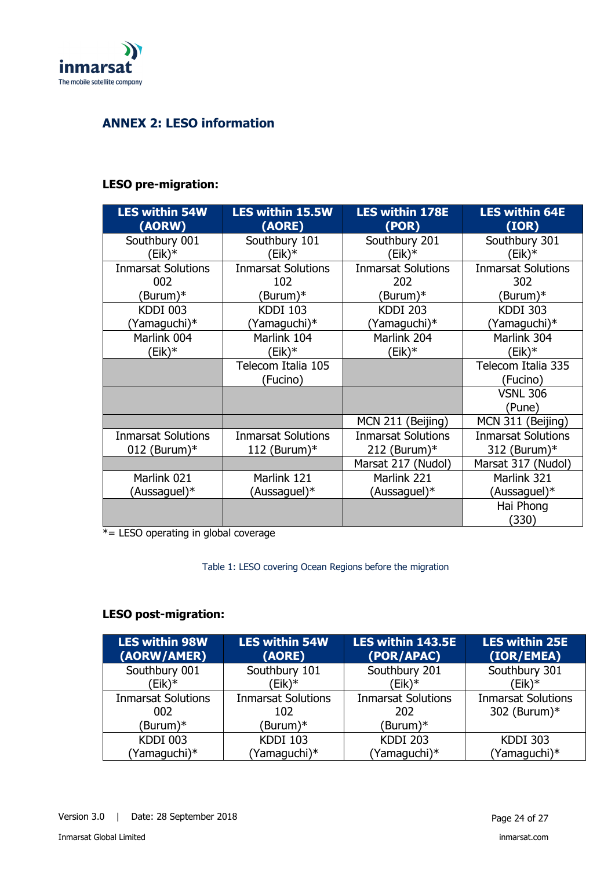

## <span id="page-23-0"></span>**ANNEX 2: LESO information**

## **LESO pre-migration:**

| <b>LES within 54W</b><br>(AORW)              | <b>LES within 15.5W</b><br>(AORE)            | <b>LES within 178E</b><br>(POR)              | <b>LES within 64E</b><br>(IOR)            |
|----------------------------------------------|----------------------------------------------|----------------------------------------------|-------------------------------------------|
| Southbury 001<br>$(Eik)*$                    | Southbury 101<br>$(Eik)*$                    | Southbury 201<br>(Eik)*                      | Southbury 301<br>$(Eik)*$                 |
| <b>Inmarsat Solutions</b><br>002             | <b>Inmarsat Solutions</b><br>102             | <b>Inmarsat Solutions</b><br>202             | <b>Inmarsat Solutions</b><br>302          |
| (Burum)*                                     | (Burum)*                                     | (Burum)*                                     | (Burum)*                                  |
| <b>KDDI 003</b><br>Yamaguchi)*               | <b>KDDI 103</b><br>(Yamaguchi)*              | <b>KDDI 203</b><br>Yamaguchi)*               | <b>KDDI 303</b><br>(Yamaguchi)*           |
| Marlink 004                                  | Marlink 104<br>$(Eik)*$                      | Marlink 204                                  | Marlink 304<br>$(Eik)*$                   |
| $(Eik)*$                                     | Telecom Italia 105                           | (Eik)*                                       | Telecom Italia 335                        |
|                                              | (Fucino)                                     |                                              | (Fucino)<br><b>VSNL 306</b><br>(Pune)     |
|                                              |                                              | MCN 211 (Beijing)                            | MCN 311 (Beijing)                         |
| <b>Inmarsat Solutions</b><br>012 (Burum) $*$ | <b>Inmarsat Solutions</b><br>112 (Burum) $*$ | <b>Inmarsat Solutions</b><br>212 (Burum) $*$ | <b>Inmarsat Solutions</b><br>312 (Burum)* |
|                                              |                                              | Marsat 217 (Nudol)                           | Marsat 317 (Nudol)                        |
| Marlink 021                                  | Marlink 121                                  | Marlink 221                                  | Marlink 321                               |
| (Aussaguel)*                                 | (Aussaguel)*                                 | (Aussaguel)*                                 | (Aussaguel)*                              |
|                                              |                                              |                                              | Hai Phong<br>(330)                        |

\*= LESO operating in global coverage

Table 1: LESO covering Ocean Regions before the migration

## **LESO post-migration:**

| <b>LES within 98W</b><br>(AORW/AMER) | <b>LES within 54W</b><br>(AORE) | LES within 143.5E<br>(POR/APAC) | <b>LES within 25E</b><br>(IOR/EMEA) |
|--------------------------------------|---------------------------------|---------------------------------|-------------------------------------|
| Southbury 001                        | Southbury 101                   | Southbury 201                   | Southbury 301                       |
| (Eik)*                               | Eik)*                           | (Eik)*                          | (Eik)*                              |
| <b>Inmarsat Solutions</b>            | <b>Inmarsat Solutions</b>       | <b>Inmarsat Solutions</b>       | <b>Inmarsat Solutions</b>           |
| 002                                  | 102                             | 202                             | 302 (Burum)*                        |
| (Burum)*                             | (Burum)*                        | (Burum)*                        |                                     |
| <b>KDDI 003</b>                      | <b>KDDI 103</b>                 | <b>KDDI 203</b>                 | <b>KDDI 303</b>                     |
| (Yamaguchi)*                         | (Yamaguchi)*                    | (Yamaguchi)*                    | (Yamaguchi)*                        |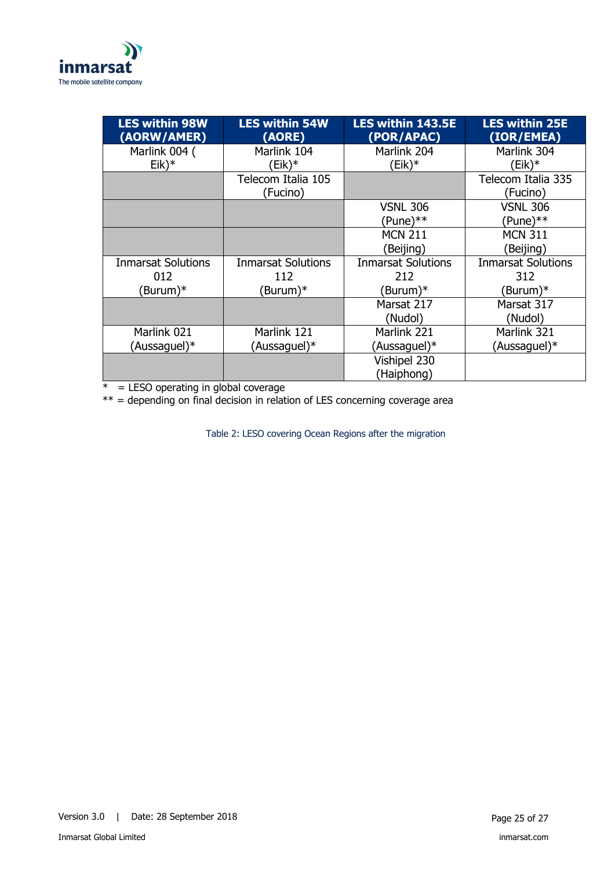

| <b>LES within 98W</b><br>(AORW/AMER) | <b>LES within 54W</b><br>(AORE) | <b>LES within 143.5E</b><br>(POR/APAC) | <b>LES within 25E</b><br>(IOR/EMEA) |
|--------------------------------------|---------------------------------|----------------------------------------|-------------------------------------|
| Marlink 004 (                        | Marlink 104                     | Marlink 204                            | Marlink 304                         |
| $Eik)*$                              | (Eik)*                          | (Eik)*                                 | (Eik)*                              |
|                                      | Telecom Italia 105              |                                        | Telecom Italia 335                  |
|                                      | (Fucino)                        |                                        | (Fucino)                            |
|                                      |                                 | <b>VSNL 306</b>                        | <b>VSNL 306</b>                     |
|                                      |                                 | $(Pune)**$                             | $(Pune)**$                          |
|                                      |                                 | <b>MCN 211</b>                         | <b>MCN 311</b>                      |
|                                      |                                 | (Beijing)                              | (Beijing)                           |
| <b>Inmarsat Solutions</b>            | <b>Inmarsat Solutions</b>       | <b>Inmarsat Solutions</b>              | <b>Inmarsat Solutions</b>           |
| 012                                  | 112                             | 212                                    | 312                                 |
| Burum)*                              | (Burum)*                        | Burum)*                                | (Burum)*                            |
|                                      |                                 | Marsat 217                             | Marsat 317                          |
|                                      |                                 | (Nudol)                                | (Nudol)                             |
| Marlink 021                          | Marlink 121                     | Marlink 221                            | Marlink 321                         |
| (Aussaguel)*                         | (Aussaguel)*                    | (Aussaguel)*                           | (Aussaguel)*                        |
|                                      |                                 | Vishipel 230                           |                                     |
|                                      |                                 | (Haiphong)                             |                                     |

 $* =$  LESO operating in global coverage

\*\* = depending on final decision in relation of LES concerning coverage area

Table 2: LESO covering Ocean Regions after the migration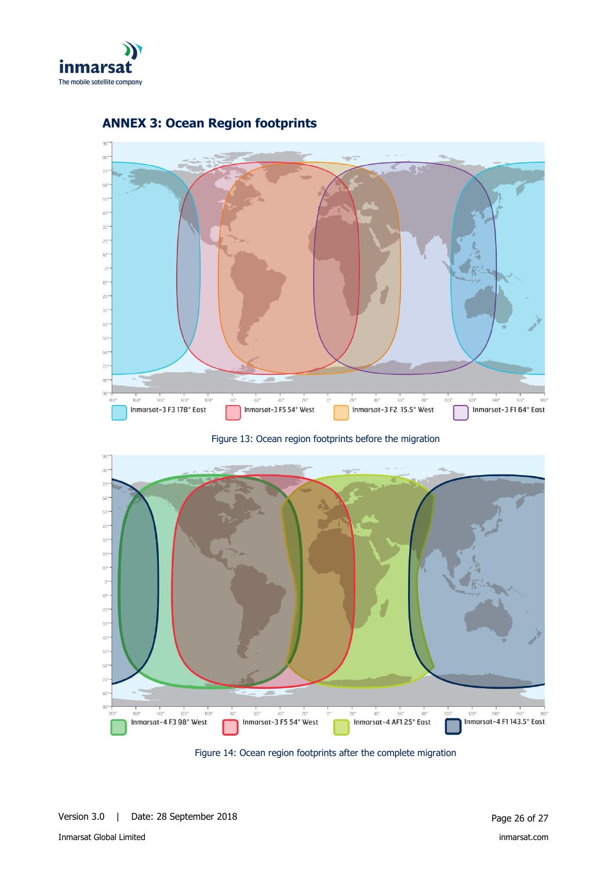



## <span id="page-25-0"></span>**ANNEX 3: Ocean Region footprints**

Figure 13: Ocean region footprints before the migration



Figure 14: Ocean region footprints after the complete migration